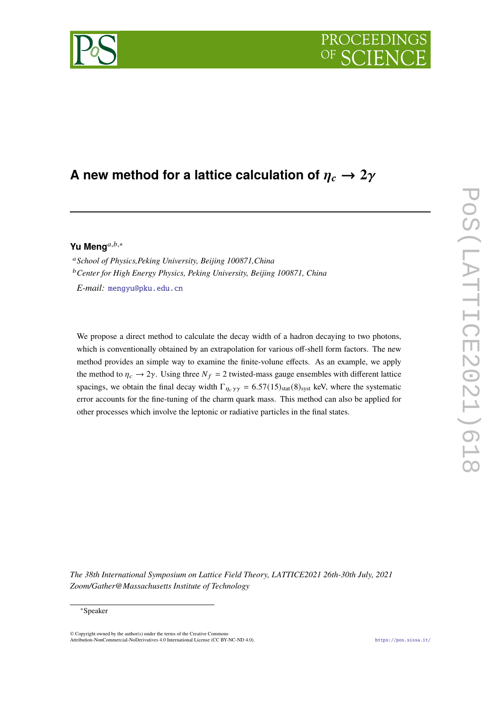# **A** new method for a lattice calculation of  $\eta_c \rightarrow 2\gamma$

## Yu Meng<sup>a,b,∗</sup>

*School of Physics,Peking University, Beijing 100871,China Center for High Energy Physics, Peking University, Beijing 100871, China*

*E-mail:* [mengyu@pku.edu.cn](mailto:mengyu@pku.edu.cn)

We propose a direct method to calculate the decay width of a hadron decaying to two photons, which is conventionally obtained by an extrapolation for various off-shell form factors. The new method provides an simple way to examine the finite-volune effects. As an example, we apply the method to  $\eta_c \to 2\gamma$ . Using three  $N_f = 2$  twisted-mass gauge ensembles with different lattice spacings, we obtain the final decay width  $\Gamma_{\eta_c \gamma \gamma} = 6.57(15)_{\text{stat}}(8)_{\text{syst}}$  keV, where the systematic error accounts for the fine-tuning of the charm quark mass. This method can also be applied for other processes which involve the leptonic or radiative particles in the final states.

*The 38th International Symposium on Lattice Field Theory, LATTICE2021 26th-30th July, 2021 Zoom/Gather@Massachusetts Institute of Technology*

<sup>∗</sup>Speaker

 $\odot$  Copyright owned by the author(s) under the terms of the Creative Common Attribution-NonCommercial-NoDerivatives 4.0 International License (CC BY-NC-ND 4.0). <https://pos.sissa.it/>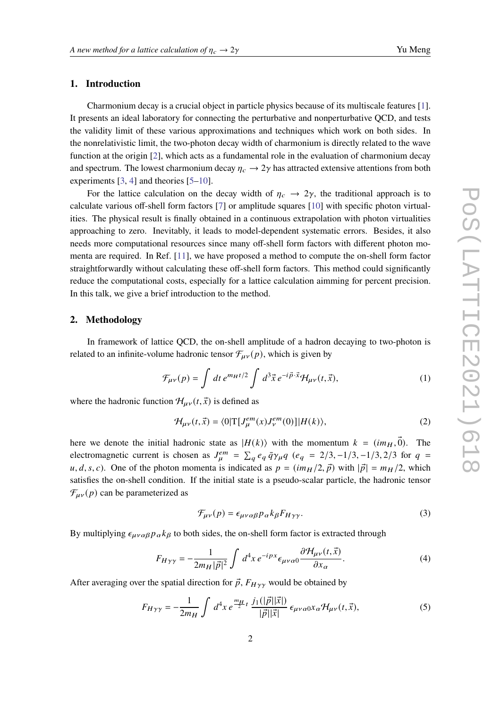#### **1. Introduction**

Charmonium decay is a crucial object in particle physics because of its multiscale features [\[1\]](#page-6-0). It presents an ideal laboratory for connecting the perturbative and nonperturbative QCD, and tests the validity limit of these various approximations and techniques which work on both sides. In the nonrelativistic limit, the two-photon decay width of charmonium is directly related to the wave function at the origin [\[2\]](#page-6-1), which acts as a fundamental role in the evaluation of charmonium decay and spectrum. The lowest charmonium decay  $\eta_c \rightarrow 2\gamma$  has attracted extensive attentions from both experiments [\[3,](#page-6-2) [4\]](#page-6-3) and theories [\[5–](#page-6-4)[10\]](#page-6-5).

For the lattice calculation on the decay width of  $\eta_c \rightarrow 2\gamma$ , the traditional approach is to calculate various off-shell form factors [\[7\]](#page-6-6) or amplitude squares [\[10\]](#page-6-5) with specific photon virtualities. The physical result is finally obtained in a continuous extrapolation with photon virtualities approaching to zero. Inevitably, it leads to model-dependent systematic errors. Besides, it also needs more computational resources since many off-shell form factors with different photon momenta are required. In Ref. [\[11\]](#page-6-7), we have proposed a method to compute the on-shell form factor straightforwardly without calculating these off-shell form factors. This method could significantly reduce the computational costs, especially for a lattice calculation aimming for percent precision. In this talk, we give a brief introduction to the method.

#### **2. Methodology**

In framework of lattice QCD, the on-shell amplitude of a hadron decaying to two-photon is related to an infinite-volume hadronic tensor  $\mathcal{F}_{\mu\nu}(p)$ , which is given by

$$
\mathcal{F}_{\mu\nu}(p) = \int dt \, e^{m_H t/2} \int d^3 \vec{x} \, e^{-i \vec{p} \cdot \vec{x}} \mathcal{H}_{\mu\nu}(t, \vec{x}), \tag{1}
$$

where the hadronic function  $\mathcal{H}_{\mu\nu}(t, \vec{x})$  is defined as

$$
\mathcal{H}_{\mu\nu}(t,\vec{x}) = \langle 0|\mathcal{T}[J_{\mu}^{em}(x)J_{\nu}^{em}(0)]|H(k)\rangle, \tag{2}
$$

here we denote the initial hadronic state as  $|H(k)\rangle$  with the momentum  $k = (i m_H, \vec{0})$ . The electromagnetic current is chosen as  $J_{\mu}^{em} = \sum_{q} e_q \bar{q} \gamma_{\mu} q$  ( $e_q = 2/3, -1/3, -1/3, 2/3$  for  $q =$ u, d, s, c). One of the photon momenta is indicated as  $p = (im_H/2, \vec{p})$  with  $|\vec{p}| = m_H/2$ , which satisfies the on-shell condition. If the initial state is a pseudo-scalar particle, the hadronic tensor  $\mathcal{F}_{\mu\nu}(p)$  can be parameterized as

$$
\mathcal{F}_{\mu\nu}(p) = \epsilon_{\mu\nu\alpha\beta} p_{\alpha} k_{\beta} F_{H\gamma\gamma}.
$$
\n(3)

By multiplying  $\epsilon_{\mu\nu\alpha\beta} p_\alpha k_\beta$  to both sides, the on-shell form factor is extracted through

$$
F_{H\gamma\gamma} = -\frac{1}{2m_H |\vec{p}|^2} \int d^4x \, e^{-ipx} \epsilon_{\mu\nu\alpha 0} \frac{\partial \mathcal{H}_{\mu\nu}(t, \vec{x})}{\partial x_\alpha}.
$$
 (4)

After averaging over the spatial direction for  $\vec{p}$ ,  $F_{H\gamma\gamma}$  would be obtained by

<span id="page-1-0"></span>
$$
F_{H\gamma\gamma} = -\frac{1}{2m_H} \int d^4x \, e^{\frac{m_H}{2}t} \, \frac{j_1(|\vec{p}||\vec{x}|)}{|\vec{p}||\vec{x}|} \, \epsilon_{\mu\nu\alpha 0} x_\alpha \mathcal{H}_{\mu\nu}(t, \vec{x}), \tag{5}
$$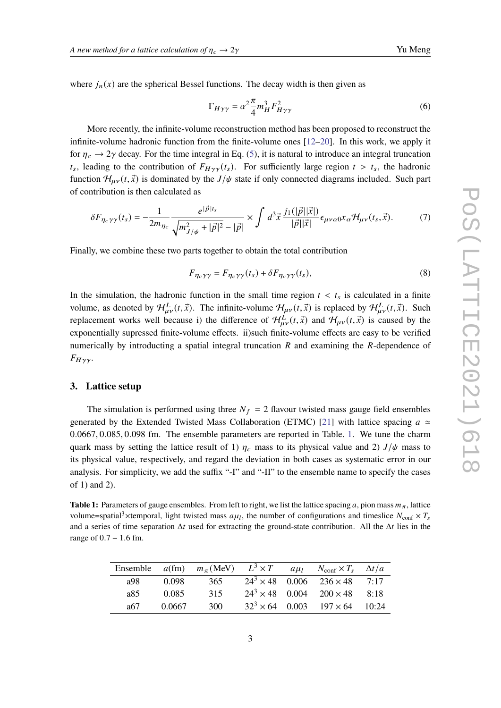where  $j_n(x)$  are the spherical Bessel functions. The decay width is then given as

$$
\Gamma_{H\gamma\gamma} = \alpha^2 \frac{\pi}{4} m_H^3 F_{H\gamma\gamma}^2 \tag{6}
$$

More recently, the infinite-volume reconstruction method has been proposed to reconstruct the infinite-volume hadronic function from the finite-volume ones [\[12–](#page-6-8)[20\]](#page-7-0). In this work, we apply it for  $\eta_c \rightarrow 2\gamma$  decay. For the time integral in Eq. [\(5\)](#page-1-0), it is natural to introduce an integral truncation  $t_s$ , leading to the contribution of  $F_{H\gamma\gamma}(t_s)$ . For sufficiently large region  $t > t_s$ , the hadronic function  $\mathcal{H}_{\mu\nu}(t, \vec{x})$  is dominated by the  $J/\psi$  state if only connected diagrams included. Such part of contribution is then calculated as

<span id="page-2-1"></span>
$$
\delta F_{\eta_c \gamma \gamma}(t_s) = -\frac{1}{2m_{\eta_c}} \frac{e^{|\vec{p}|t_s}}{\sqrt{m_{J/\psi}^2 + |\vec{p}|^2} - |\vec{p}|} \times \int d^3 \vec{x} \, \frac{j_1(|\vec{p}||\vec{x}|)}{|\vec{p}||\vec{x}|} \epsilon_{\mu\nu\alpha 0} x_\alpha \mathcal{H}_{\mu\nu}(t_s, \vec{x}). \tag{7}
$$

Finally, we combine these two parts together to obtain the total contribution

$$
F_{\eta_c \gamma \gamma} = F_{\eta_c \gamma \gamma}(t_s) + \delta F_{\eta_c \gamma \gamma}(t_s),\tag{8}
$$

In the simulation, the hadronic function in the small time region  $t < t_s$  is calculated in a finite volume, as denoted by  $\mathcal{H}_{\mu\nu}^L(t,\vec{x})$ . The infinite-volume  $\mathcal{H}_{\mu\nu}^L(t,\vec{x})$  is replaced by  $\mathcal{H}_{\mu\nu}^L(t,\vec{x})$ . Such replacement works well because i) the difference of  $\mathcal{H}_{\mu\nu}^L(t,\vec{x})$  and  $\mathcal{H}_{\mu\nu}(t,\vec{x})$  is caused by the exponentially supressed finite-volume effects. ii)such finite-volume effects are easy to be verified numerically by introducting a spatial integral truncation  $R$  and examining the  $R$ -dependence of  $F_{H\gamma\gamma}$ .

#### **3. Lattice setup**

The simulation is performed using three  $N_f = 2$  flavour twisted mass gauge field ensembles generated by the Extended Twisted Mass Collaboration (ETMC) [\[21\]](#page-7-1) with lattice spacing  $a \approx$ 0.0667, 0.085, 0.098 fm. The ensemble parameters are reported in Table. [1.](#page-2-0) We tune the charm quark mass by setting the lattice result of 1)  $\eta_c$  mass to its physical value and 2)  $J/\psi$  mass to its physical value, respectively, and regard the deviation in both cases as systematic error in our analysis. For simplicity, we add the suffix "-I" and "-II" to the ensemble name to specify the cases of 1) and 2).

<span id="page-2-0"></span>**Table 1:** Parameters of gauge ensembles. From left to right, we list the lattice spacing a, pion mass  $m_{\pi}$ , lattice volume=spatial<sup>3</sup>×temporal, light twisted mass  $a\mu_l$ , the number of configurations and timeslice  $N_{\text{conf}} \times T_s$ and a series of time separation  $\Delta t$  used for extracting the ground-state contribution. All the  $\Delta t$  lies in the range of  $0.7 - 1.6$  fm.

|                |        | Ensemble $a$ (fm) $m_\pi$ (MeV) $L^3 \times T$ |                        | $a\mu_l$ | $N_{\text{conf}} \times T_s \quad \Delta t/a$ |       |
|----------------|--------|------------------------------------------------|------------------------|----------|-----------------------------------------------|-------|
| <sub>a98</sub> | 0.098  | 365                                            |                        |          | $24^3 \times 48$ 0.006 $236 \times 48$        | 7.17  |
| a85.           | 0.085  | 315                                            |                        |          | $24^3 \times 48$ 0.004 200 $\times$ 48        | 8.18  |
| а67            | 0.0667 | 300                                            | $32^3 \times 64$ 0.003 |          | $197 \times 64$                               | 10:24 |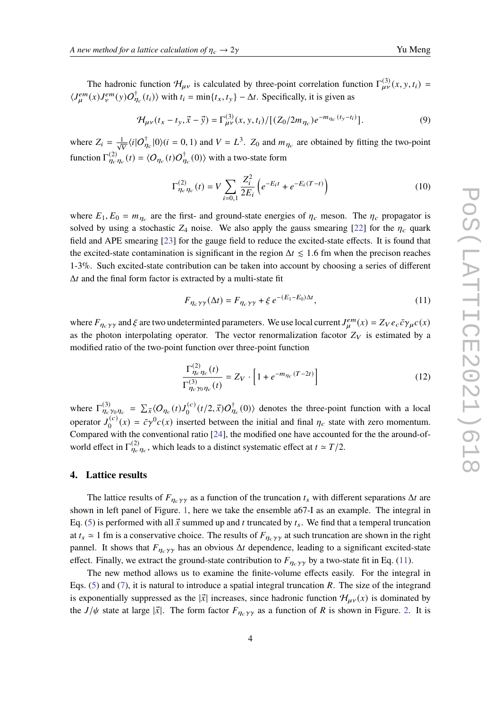The hadronic function  $\mathcal{H}_{\mu\nu}$  is calculated by three-point correlation function  $\Gamma^{(3)}_{\mu\nu}(x, y, t_i)$  $\langle J_{\mu}^{em}(x)J_{\nu}^{em}(y)O_{\eta_c}^{\dagger}(t_i)\rangle$  with  $t_i = \min\{t_x, t_y\} - \Delta t$ . Specifically, it is given as

$$
\mathcal{H}_{\mu\nu}(t_x - t_y, \vec{x} - \vec{y}) = \Gamma_{\mu\nu}^{(3)}(x, y, t_i) / [(Z_0/2m_{\eta_c})e^{-m_{\eta_c}(t_y - t_i)}].
$$
\n(9)

where  $Z_i = \frac{1}{\sqrt{V}} \langle i | O_{\eta_c}^{\dagger} | 0 \rangle (i = 0, 1)$  and  $V = L^3$ .  $Z_0$  and  $m_{\eta_c}$  are obtained by fitting the two-point function  $\Gamma_{\eta_c\eta_c}^{(2)}(t) = \langle O_{\eta_c}(t) O_{\eta_c}^{\dagger}(0) \rangle$  with a two-state form

$$
\Gamma_{\eta_c \eta_c}^{(2)}(t) = V \sum_{i=0,1} \frac{Z_i^2}{2E_i} \left( e^{-E_i t} + e^{-E_i (T - t)} \right)
$$
\n(10)

where  $E_1, E_0 = m_{\eta_c}$  are the first- and ground-state energies of  $\eta_c$  meson. The  $\eta_c$  propagator is solved by using a stochastic  $Z_4$  noise. We also apply the gauss smearing [\[22\]](#page-7-2) for the  $\eta_c$  quark field and APE smearing [\[23\]](#page-7-3) for the gauge field to reduce the excited-state effects. It is found that the excited-state contamination is significant in the region  $\Delta t \leq 1.6$  fm when the precison reaches 1-3%. Such excited-state contribution can be taken into account by choosing a series of different  $\Delta t$  and the final form factor is extracted by a multi-state fit

<span id="page-3-0"></span>
$$
F_{\eta_c \gamma \gamma}(\Delta t) = F_{\eta_c \gamma \gamma} + \xi e^{-(E_1 - E_0)\Delta t},\tag{11}
$$

where  $F_{\eta_c \gamma \gamma}$  and  $\xi$  are two undeterminted parameters. We use local current  $J_\mu^{em}(x) = Z_V e_c \bar{c} \gamma_\mu c(x)$ as the photon interpolating operator. The vector renormalization facotor  $Z_V$  is estimated by a modified ratio of the two-point function over three-point function

$$
\frac{\Gamma_{\eta_c \eta_c}^{(2)}(t)}{\Gamma_{\eta_c \gamma_0 \eta_c}^{(3)}(t)} = Z_V \cdot \left[1 + e^{-m_{\eta_c}(T - 2t)}\right]
$$
\n(12)

where  $\Gamma_{\eta_c \gamma_0 \eta_c}^{(3)} = \sum_{\vec{x}} \langle O_{\eta_c}(t) J_0^{(c)} \rangle$  $\int_0^{(c)} (t/2, \vec{x}) O_{\eta_c}^{\dagger}(0)$  denotes the three-point function with a local operator  $J_0^{(c)}$  $\bar{\sigma}_0^{(c)}(x) = \bar{c}\gamma^0 c(x)$  inserted between the initial and final  $\eta_c$  state with zero momentum. Compared with the conventional ratio [\[24\]](#page-7-4), the modified one have accounted for the the around-ofworld effect in  $\Gamma_{\eta_c \eta_c}^{(2)}$ , which leads to a distinct systematic effect at  $t \approx T/2$ .

### **4. Lattice results**

The lattice results of  $F_{\eta_c \gamma \gamma}$  as a function of the truncation  $t_s$  with different separations  $\Delta t$  are shown in left panel of Figure. [1,](#page-4-0) here we take the ensemble a67-I as an example. The integral in Eq. [\(5\)](#page-1-0) is performed with all  $\vec{x}$  summed up and t truncated by  $t_s$ . We find that a temperal truncation at  $t_s \approx 1$  fm is a conservative choice. The results of  $F_{\eta_c \gamma \gamma}$  at such truncation are shown in the right pannel. It shows that  $F_{\eta_c \gamma \gamma}$  has an obvious  $\Delta t$  dependence, leading to a significant excited-state effect. Finally, we extract the ground-state contribution to  $F_{\eta_c \gamma \gamma}$  by a two-state fit in Eq. [\(11\)](#page-3-0).

The new method allows us to examine the finite-volume effects easily. For the integral in Eqs. [\(5\)](#page-1-0) and [\(7\)](#page-2-1), it is natural to introduce a spatial integral truncation R. The size of the integrand is exponentially suppressed as the  $|\vec{x}|$  increases, since hadronic function  $\mathcal{H}_{\mu\nu}(x)$  is dominated by the  $J/\psi$  state at large  $|\vec{x}|$ . The form factor  $F_{\eta_c \gamma \gamma}$  as a function of R is shown in Figure. [2.](#page-4-1) It is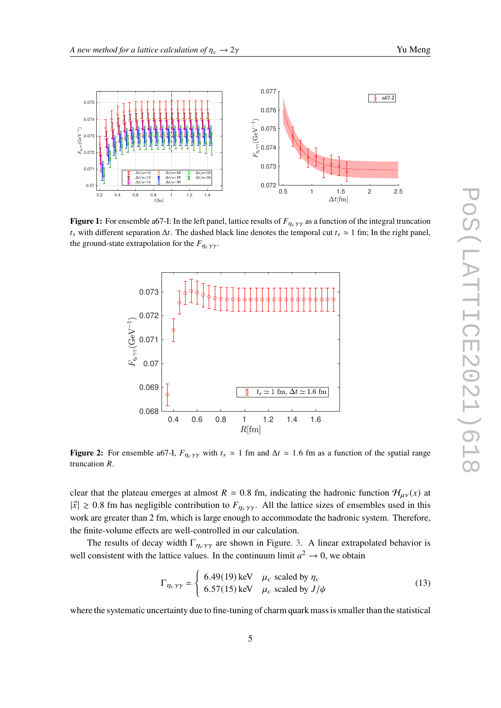<span id="page-4-0"></span>

<span id="page-4-1"></span>**Figure 1:** For ensemble a67-I: In the left panel, lattice results of  $F_{\eta_c\gamma\gamma}$  as a function of the integral truncation  $t_s$  with different separation  $\Delta t$ . The dashed black line denotes the temporal cut  $t_s \approx 1$  fm; In the right panel, the ground-state extrapolation for the  $F_{\eta_c \gamma \gamma}$ .



**Figure 2:** For ensemble a67-I,  $F_{\eta_c \gamma \gamma}$  with  $t_s \approx 1$  fm and  $\Delta t \approx 1.6$  fm as a function of the spatial range truncation *.* 

clear that the plateau emerges at almost  $R \approx 0.8$  fm, indicating the hadronic function  $\mathcal{H}_{\mu\nu}(x)$  at  $|\vec{x}| \ge 0.8$  fm has negligible contribution to  $F_{\eta_c \gamma \gamma}$ . All the lattice sizes of ensembles used in this work are greater than 2 fm, which is large enough to accommodate the hadronic system. Therefore, the finite-volume effects are well-controlled in our calculation.

The results of decay width  $\Gamma_{\eta_c \gamma \gamma}$  are shown in Figure. [3.](#page-5-0) A linear extrapolated behavior is well consistent with the lattice values. In the continuum limit  $a^2 \to 0$ , we obtain

$$
\Gamma_{\eta_c \gamma \gamma} = \begin{cases} 6.49(19) \text{ keV} & \mu_c \text{ scaled by } \eta_c \\ 6.57(15) \text{ keV} & \mu_c \text{ scaled by } J/\psi \end{cases}
$$
(13)

where the systematic uncertainty due to fine-tuning of charm quark mass is smaller than the statistical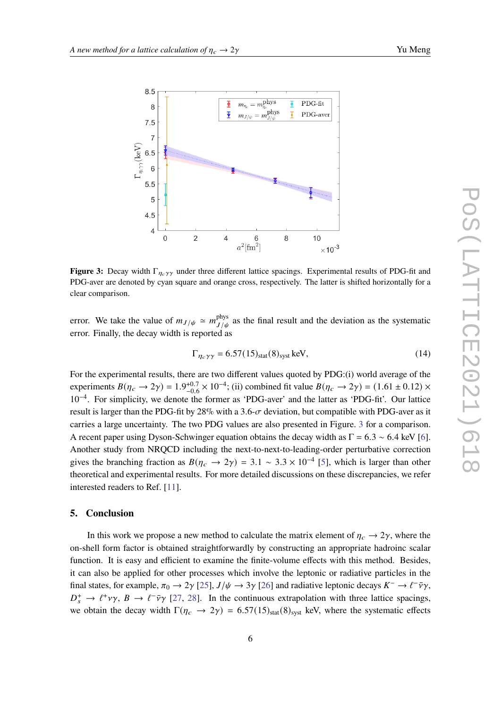<span id="page-5-0"></span>

**Figure 3:** Decay width  $\Gamma_{\eta_c \gamma \gamma}$  under three different lattice spacings. Experimental results of PDG-fit and PDG-aver are denoted by cyan square and orange cross, respectively. The latter is shifted horizontally for a clear comparison.

error. We take the value of  $m_{J/\psi} \simeq m_{J/\psi}^{\text{phys}}$  $J/\psi$  as the final result and the deviation as the systematic error. Finally, the decay width is reported as

$$
\Gamma_{\eta_c \gamma \gamma} = 6.57(15)_{\text{stat}}(8)_{\text{syst}} \text{ keV},\tag{14}
$$

For the experimental results, there are two different values quoted by PDG:(i) world average of the experiments  $B(\eta_c \rightarrow 2\gamma) = 1.9^{+0.7}_{-0.6}$  $^{+0.7}_{-0.6}$  × 10<sup>-4</sup>; (ii) combined fit value  $B(\eta_c \to 2\gamma) = (1.61 \pm 0.12)$  × 10−<sup>4</sup> . For simplicity, we denote the former as 'PDG-aver' and the latter as 'PDG-fit'. Our lattice result is larger than the PDG-fit by 28% with a 3.6- $\sigma$  deviation, but compatible with PDG-aver as it carries a large uncertainty. The two PDG values are also presented in Figure. [3](#page-5-0) for a comparison. A recent paper using Dyson-Schwinger equation obtains the decay width as  $\Gamma = 6.3 \sim 6.4$  keV [\[6\]](#page-6-9). Another study from NRQCD including the next-to-next-to-leading-order perturbative correction gives the branching fraction as  $B(\eta_c \to 2\gamma) = 3.1 \sim 3.3 \times 10^{-4}$  [\[5\]](#page-6-4), which is larger than other theoretical and experimental results. For more detailed discussions on these discrepancies, we refer interested readers to Ref. [\[11\]](#page-6-7).

#### **5. Conclusion**

In this work we propose a new method to calculate the matrix element of  $\eta_c \rightarrow 2\gamma$ , where the on-shell form factor is obtained straightforwardly by constructing an appropriate hadroinc scalar function. It is easy and efficient to examine the finite-volume effects with this method. Besides, it can also be applied for other processes which involve the leptonic or radiative particles in the final states, for example,  $\pi_0 \to 2\gamma$  [\[25\]](#page-7-5),  $J/\psi \to 3\gamma$  [\[26\]](#page-7-6) and radiative leptonic decays  $K^- \to \ell^- \bar{\nu} \gamma$ ,  $D_s^+ \to \ell^+ \nu \gamma$ ,  $B \to \ell^- \bar{\nu} \gamma$  [\[27,](#page-7-7) [28\]](#page-7-8). In the continuous extrapolation with three lattice spacings, we obtain the decay width  $\Gamma(\eta_c \to 2\gamma) = 6.57(15)_{\text{stat}}(8)_{\text{syst}}$  keV, where the systematic effects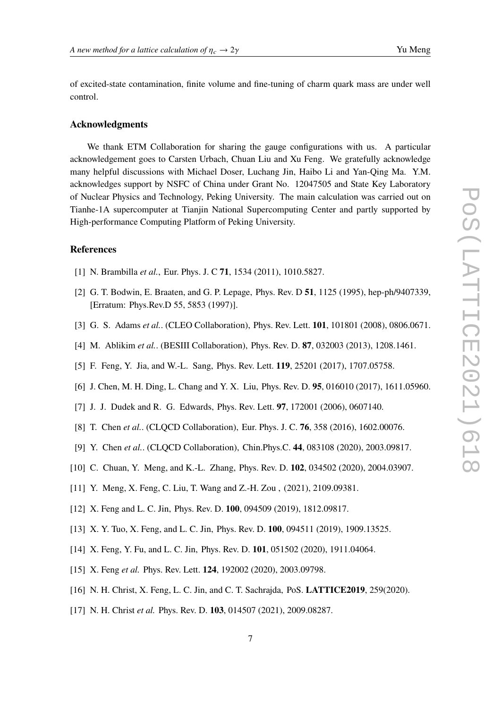of excited-state contamination, finite volume and fine-tuning of charm quark mass are under well control.

### **Acknowledgments**

We thank ETM Collaboration for sharing the gauge configurations with us. A particular acknowledgement goes to Carsten Urbach, Chuan Liu and Xu Feng. We gratefully acknowledge many helpful discussions with Michael Doser, Luchang Jin, Haibo Li and Yan-Qing Ma. Y.M. acknowledges support by NSFC of China under Grant No. 12047505 and State Key Laboratory of Nuclear Physics and Technology, Peking University. The main calculation was carried out on Tianhe-1A supercomputer at Tianjin National Supercomputing Center and partly supported by High-performance Computing Platform of Peking University.

### **References**

- <span id="page-6-0"></span>[1] N. Brambilla *et al.*, Eur. Phys. J. C **71**, 1534 (2011), 1010.5827.
- <span id="page-6-1"></span>[2] G. T. Bodwin, E. Braaten, and G. P. Lepage, Phys. Rev. D **51**, 1125 (1995), hep-ph/9407339, [Erratum: Phys.Rev.D 55, 5853 (1997)].
- <span id="page-6-2"></span>[3] G. S. Adams *et al.*. (CLEO Collaboration), Phys. Rev. Lett. **101**, 101801 (2008), 0806.0671.
- <span id="page-6-3"></span>[4] M. Ablikim *et al.*. (BESIII Collaboration), Phys. Rev. D. **87**, 032003 (2013), 1208.1461.
- <span id="page-6-4"></span>[5] F. Feng, Y. Jia, and W.-L. Sang, Phys. Rev. Lett. **119**, 25201 (2017), 1707.05758.
- <span id="page-6-9"></span>[6] J. Chen, M. H. Ding, L. Chang and Y. X. Liu, Phys. Rev. D. **95**, 016010 (2017), 1611.05960.
- <span id="page-6-6"></span>[7] J. J. Dudek and R. G. Edwards, Phys. Rev. Lett. **97**, 172001 (2006), 0607140.
- [8] T. Chen *et al.*. (CLQCD Collaboration), Eur. Phys. J. C. **76**, 358 (2016), 1602.00076.
- [9] Y. Chen *et al.*. (CLQCD Collaboration), Chin.Phys.C. **44**, 083108 (2020), 2003.09817.
- <span id="page-6-5"></span>[10] C. Chuan, Y. Meng, and K.-L. Zhang, Phys. Rev. D. **102**, 034502 (2020), 2004.03907.
- <span id="page-6-7"></span>[11] Y. Meng, X. Feng, C. Liu, T. Wang and Z.-H. Zou, (2021), 2109.09381.
- <span id="page-6-8"></span>[12] X. Feng and L. C. Jin, Phys. Rev. D. **100**, 094509 (2019), 1812.09817.
- [13] X. Y. Tuo, X. Feng, and L. C. Jin, Phys. Rev. D. **100**, 094511 (2019), 1909.13525.
- [14] X. Feng, Y. Fu, and L. C. Jin, Phys. Rev. D. **101**, 051502 (2020), 1911.04064.
- [15] X. Feng *et al.* Phys. Rev. Lett. **124**, 192002 (2020), 2003.09798.
- [16] N. H. Christ, X. Feng, L. C. Jin, and C. T. Sachrajda, PoS. **LATTICE2019**, 259(2020).
- [17] N. H. Christ *et al.* Phys. Rev. D. **103**, 014507 (2021), 2009.08287.